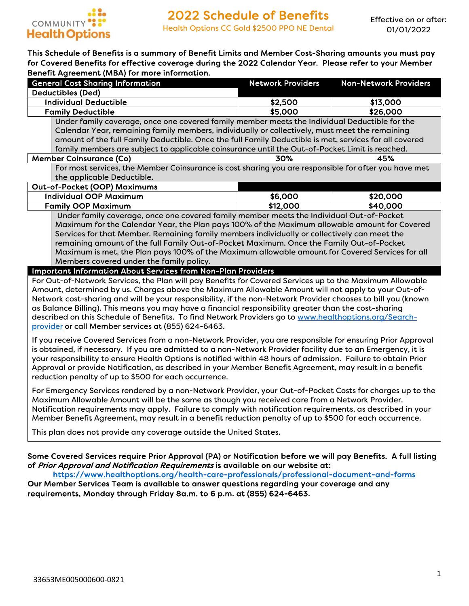

#### This Schedule of Benefits is a summary of Benefit Limits and Member Cost-Sharing amounts you must pay for Covered Benefits for effective coverage during the 2022 Calendar Year. Please refer to your Member Benefit Agreement (MBA) for more information.

| <b>General Cost Sharing Information</b>                                                                | <b>Network Providers</b> | <b>Non-Network Providers</b> |  |  |
|--------------------------------------------------------------------------------------------------------|--------------------------|------------------------------|--|--|
| <b>Deductibles (Ded)</b>                                                                               |                          |                              |  |  |
| <b>Individual Deductible</b>                                                                           | \$2,500                  | \$13,000                     |  |  |
| <b>Family Deductible</b>                                                                               | \$5,000                  | \$26,000                     |  |  |
| Under family coverage, once one covered family member meets the Individual Deductible for the          |                          |                              |  |  |
| Calendar Year, remaining family members, individually or collectively, must meet the remaining         |                          |                              |  |  |
| amount of the full Family Deductible. Once the full Family Deductible is met, services for all covered |                          |                              |  |  |
| family members are subject to applicable coinsurance until the Out-of-Pocket Limit is reached.         |                          |                              |  |  |
| <b>Member Coinsurance (Co)</b>                                                                         | 30%                      | 45%                          |  |  |
| For most services, the Member Coinsurance is cost sharing you are responsible for after you have met   |                          |                              |  |  |
| the applicable Deductible.                                                                             |                          |                              |  |  |
| Out-of-Pocket (OOP) Maximums                                                                           |                          |                              |  |  |
| <b>Individual OOP Maximum</b>                                                                          | \$6,000                  | \$20,000                     |  |  |
| <b>Family OOP Maximum</b><br>\$40,000<br>\$12,000                                                      |                          |                              |  |  |
| Under family coverage, once one covered family member meets the Individual Out-of-Pocket               |                          |                              |  |  |
| Maximum for the Calendar Year, the Plan pays 100% of the Maximum allowable amount for Covered          |                          |                              |  |  |
| Services for that Member. Remaining family members individually or collectively can meet the           |                          |                              |  |  |
| remaining amount of the full Family Out-of-Pocket Maximum. Once the Family Out-of-Pocket               |                          |                              |  |  |
| Maximum is met, the Plan pays 100% of the Maximum allowable amount for Covered Services for all        |                          |                              |  |  |

Members covered under the family policy.

#### Important Information About Services from Non-Plan Providers

For Out-of-Network Services, the Plan will pay Benefits for Covered Services up to the Maximum Allowable Amount, determined by us. Charges above the Maximum Allowable Amount will not apply to your Out-of-Network cost-sharing and will be your responsibility, if the non-Network Provider chooses to bill you (known as Balance Billing). This means you may have a financial responsibility greater than the cost-sharing described on this Schedule of Benefits. To find Network Providers go to www.healthoptions.org/Searchprovider or call Member services at (855) 624-6463.

If you receive Covered Services from a non-Network Provider, you are responsible for ensuring Prior Approval is obtained, if necessary. If you are admitted to a non-Network Provider facility due to an Emergency, it is your responsibility to ensure Health Options is notified within 48 hours of admission. Failure to obtain Prior Approval or provide Notification, as described in your Member Benefit Agreement, may result in a benefit reduction penalty of up to \$500 for each occurrence.

For Emergency Services rendered by a non-Network Provider, your Out-of-Pocket Costs for charges up to the Maximum Allowable Amount will be the same as though you received care from a Network Provider. Notification requirements may apply. Failure to comply with notification requirements, as described in your Member Benefit Agreement, may result in a benefit reduction penalty of up to \$500 for each occurrence.

This plan does not provide any coverage outside the United States.

#### Some Covered Services require Prior Approval (PA) or Notification before we will pay Benefits. A full listing of Prior Approval and Notification Requirements is available on our website at:

https://www.healthoptions.org/health-care-professionals/professional-document-and-forms Our Member Services Team is available to answer questions regarding your coverage and any

requirements, Monday through Friday 8a.m. to 6 p.m. at (855) 624-6463.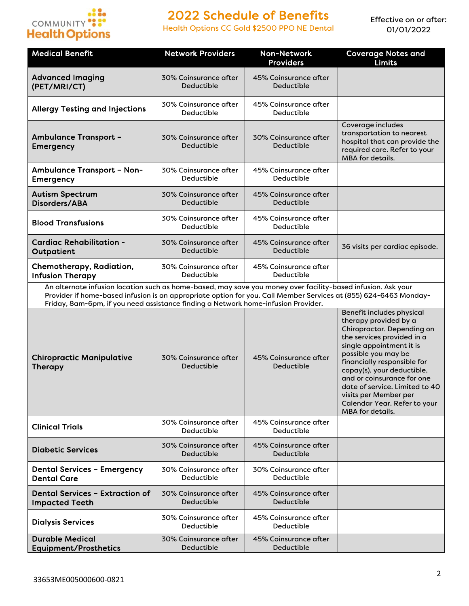

Health Options CC Gold \$2500 PPO NE Dental

| <b>Medical Benefit</b>                                                                                                                                                                                                                                                                                                | <b>Network Providers</b>            | <b>Non-Network</b><br><b>Providers</b> | <b>Coverage Notes and</b><br><b>Limits</b>                                                                                                                                                                                                                                                                                                                                         |
|-----------------------------------------------------------------------------------------------------------------------------------------------------------------------------------------------------------------------------------------------------------------------------------------------------------------------|-------------------------------------|----------------------------------------|------------------------------------------------------------------------------------------------------------------------------------------------------------------------------------------------------------------------------------------------------------------------------------------------------------------------------------------------------------------------------------|
| <b>Advanced Imaging</b><br>(PET/MRI/CT)                                                                                                                                                                                                                                                                               | 30% Coinsurance after<br>Deductible | 45% Coinsurance after<br>Deductible    |                                                                                                                                                                                                                                                                                                                                                                                    |
| <b>Allergy Testing and Injections</b>                                                                                                                                                                                                                                                                                 | 30% Coinsurance after<br>Deductible | 45% Coinsurance after<br>Deductible    |                                                                                                                                                                                                                                                                                                                                                                                    |
| <b>Ambulance Transport -</b><br><b>Emergency</b>                                                                                                                                                                                                                                                                      | 30% Coinsurance after<br>Deductible | 30% Coinsurance after<br>Deductible    | Coverage includes<br>transportation to nearest<br>hospital that can provide the<br>required care. Refer to your<br>MBA for details.                                                                                                                                                                                                                                                |
| <b>Ambulance Transport - Non-</b><br><b>Emergency</b>                                                                                                                                                                                                                                                                 | 30% Coinsurance after<br>Deductible | 45% Coinsurance after<br>Deductible    |                                                                                                                                                                                                                                                                                                                                                                                    |
| <b>Autism Spectrum</b><br>Disorders/ABA                                                                                                                                                                                                                                                                               | 30% Coinsurance after<br>Deductible | 45% Coinsurance after<br>Deductible    |                                                                                                                                                                                                                                                                                                                                                                                    |
| <b>Blood Transfusions</b>                                                                                                                                                                                                                                                                                             | 30% Coinsurance after<br>Deductible | 45% Coinsurance after<br>Deductible    |                                                                                                                                                                                                                                                                                                                                                                                    |
| <b>Cardiac Rehabilitation -</b><br>Outpatient                                                                                                                                                                                                                                                                         | 30% Coinsurance after<br>Deductible | 45% Coinsurance after<br>Deductible    | 36 visits per cardiac episode.                                                                                                                                                                                                                                                                                                                                                     |
| Chemotherapy, Radiation,<br><b>Infusion Therapy</b>                                                                                                                                                                                                                                                                   | 30% Coinsurance after<br>Deductible | 45% Coinsurance after<br>Deductible    |                                                                                                                                                                                                                                                                                                                                                                                    |
| An alternate infusion location such as home-based, may save you money over facility-based infusion. Ask your<br>Provider if home-based infusion is an appropriate option for you. Call Member Services at (855) 624-6463 Monday-<br>Friday, 8am-6pm, if you need assistance finding a Network home-infusion Provider. |                                     |                                        |                                                                                                                                                                                                                                                                                                                                                                                    |
| <b>Chiropractic Manipulative</b><br><b>Therapy</b>                                                                                                                                                                                                                                                                    | 30% Coinsurance after<br>Deductible | 45% Coinsurance after<br>Deductible    | Benefit includes physical<br>therapy provided by a<br>Chiropractor. Depending on<br>the services provided in a<br>single appointment it is<br>possible you may be<br>financially responsible for<br>copay(s), your deductible,<br>and or coinsurance for one<br>date of service. Limited to 40<br>visits per Member per<br>Calendar Year. Refer to your<br><b>MBA</b> for details. |
| <b>Clinical Trials</b>                                                                                                                                                                                                                                                                                                | 30% Coinsurance after<br>Deductible | 45% Coinsurance after<br>Deductible    |                                                                                                                                                                                                                                                                                                                                                                                    |
| <b>Diabetic Services</b>                                                                                                                                                                                                                                                                                              | 30% Coinsurance after<br>Deductible | 45% Coinsurance after<br>Deductible    |                                                                                                                                                                                                                                                                                                                                                                                    |
| <b>Dental Services - Emergency</b><br><b>Dental Care</b>                                                                                                                                                                                                                                                              | 30% Coinsurance after<br>Deductible | 30% Coinsurance after<br>Deductible    |                                                                                                                                                                                                                                                                                                                                                                                    |
| <b>Dental Services - Extraction of</b><br><b>Impacted Teeth</b>                                                                                                                                                                                                                                                       | 30% Coinsurance after<br>Deductible | 45% Coinsurance after<br>Deductible    |                                                                                                                                                                                                                                                                                                                                                                                    |
| <b>Dialysis Services</b>                                                                                                                                                                                                                                                                                              | 30% Coinsurance after<br>Deductible | 45% Coinsurance after<br>Deductible    |                                                                                                                                                                                                                                                                                                                                                                                    |
| <b>Durable Medical</b><br><b>Equipment/Prosthetics</b>                                                                                                                                                                                                                                                                | 30% Coinsurance after<br>Deductible | 45% Coinsurance after<br>Deductible    |                                                                                                                                                                                                                                                                                                                                                                                    |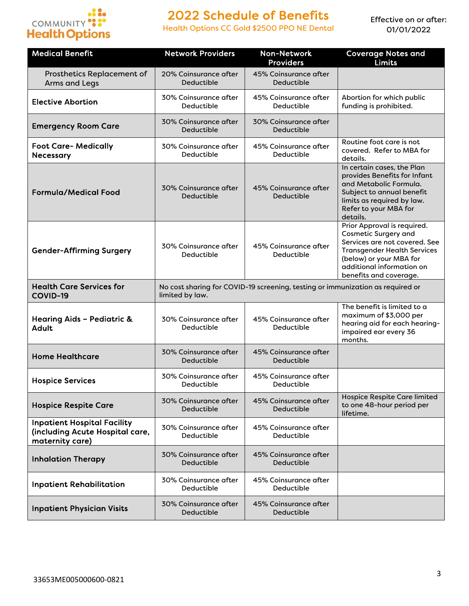

Health Options CC Gold \$2500 PPO NE Dental

| <b>Medical Benefit</b>                                                                   | <b>Network Providers</b>            | <b>Non-Network</b><br><b>Providers</b>                                         | <b>Coverage Notes and</b><br><b>Limits</b>                                                                                                                                                                          |
|------------------------------------------------------------------------------------------|-------------------------------------|--------------------------------------------------------------------------------|---------------------------------------------------------------------------------------------------------------------------------------------------------------------------------------------------------------------|
| Prosthetics Replacement of<br><b>Arms and Legs</b>                                       | 20% Coinsurance after<br>Deductible | 45% Coinsurance after<br>Deductible                                            |                                                                                                                                                                                                                     |
| <b>Elective Abortion</b>                                                                 | 30% Coinsurance after<br>Deductible | 45% Coinsurance after<br>Deductible                                            | Abortion for which public<br>funding is prohibited.                                                                                                                                                                 |
| <b>Emergency Room Care</b>                                                               | 30% Coinsurance after<br>Deductible | 30% Coinsurance after<br>Deductible                                            |                                                                                                                                                                                                                     |
| <b>Foot Care- Medically</b><br><b>Necessary</b>                                          | 30% Coinsurance after<br>Deductible | 45% Coinsurance after<br>Deductible                                            | Routine foot care is not<br>covered. Refer to MBA for<br>details.                                                                                                                                                   |
| <b>Formula/Medical Food</b>                                                              | 30% Coinsurance after<br>Deductible | 45% Coinsurance after<br>Deductible                                            | In certain cases, the Plan<br>provides Benefits for Infant<br>and Metabolic Formula.<br>Subject to annual benefit<br>limits as required by law.<br>Refer to your MBA for<br>details.                                |
| <b>Gender-Affirming Surgery</b>                                                          | 30% Coinsurance after<br>Deductible | 45% Coinsurance after<br>Deductible                                            | Prior Approval is required.<br><b>Cosmetic Surgery and</b><br>Services are not covered. See<br><b>Transgender Health Services</b><br>(below) or your MBA for<br>additional information on<br>benefits and coverage. |
| <b>Health Care Services for</b><br><b>COVID-19</b>                                       | limited by law.                     | No cost sharing for COVID-19 screening, testing or immunization as required or |                                                                                                                                                                                                                     |
| Hearing Aids - Pediatric &<br><b>Adult</b>                                               | 30% Coinsurance after<br>Deductible | 45% Coinsurance after<br>Deductible                                            | The benefit is limited to a<br>maximum of \$3,000 per<br>hearing aid for each hearing-<br>impaired ear every 36<br>months.                                                                                          |
| <b>Home Healthcare</b>                                                                   | 30% Coinsurance after<br>Deductible | 45% Coinsurance after<br>Deductible                                            |                                                                                                                                                                                                                     |
| <b>Hospice Services</b>                                                                  | 30% Coinsurance after<br>Deductible | 45% Coinsurance after<br>Deductible                                            |                                                                                                                                                                                                                     |
| <b>Hospice Respite Care</b>                                                              | 30% Coinsurance after<br>Deductible | 45% Coinsurance after<br>Deductible                                            | Hospice Respite Care limited<br>to one 48-hour period per<br>lifetime.                                                                                                                                              |
| <b>Inpatient Hospital Facility</b><br>(including Acute Hospital care,<br>maternity care) | 30% Coinsurance after<br>Deductible | 45% Coinsurance after<br>Deductible                                            |                                                                                                                                                                                                                     |
| <b>Inhalation Therapy</b>                                                                | 30% Coinsurance after<br>Deductible | 45% Coinsurance after<br>Deductible                                            |                                                                                                                                                                                                                     |
| <b>Inpatient Rehabilitation</b>                                                          | 30% Coinsurance after<br>Deductible | 45% Coinsurance after<br>Deductible                                            |                                                                                                                                                                                                                     |
| <b>Inpatient Physician Visits</b>                                                        | 30% Coinsurance after<br>Deductible | 45% Coinsurance after<br>Deductible                                            |                                                                                                                                                                                                                     |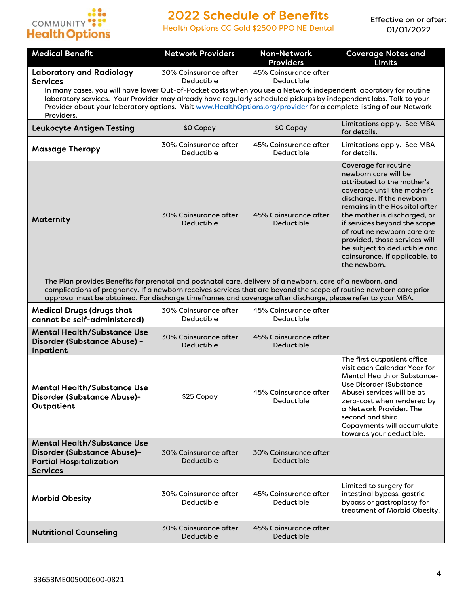

Health Options CC Gold \$2500 PPO NE Dental

| <b>Medical Benefit</b>                                                                                                                                                                                                                                                                                                                                                    | <b>Network Providers</b>            | <b>Non-Network</b>                  | <b>Coverage Notes and</b>                                                                                                                                                                                                                                                                                                                                                                 |  |
|---------------------------------------------------------------------------------------------------------------------------------------------------------------------------------------------------------------------------------------------------------------------------------------------------------------------------------------------------------------------------|-------------------------------------|-------------------------------------|-------------------------------------------------------------------------------------------------------------------------------------------------------------------------------------------------------------------------------------------------------------------------------------------------------------------------------------------------------------------------------------------|--|
|                                                                                                                                                                                                                                                                                                                                                                           |                                     | <b>Providers</b>                    | <b>Limits</b>                                                                                                                                                                                                                                                                                                                                                                             |  |
| <b>Laboratory and Radiology</b><br><b>Services</b>                                                                                                                                                                                                                                                                                                                        | 30% Coinsurance after<br>Deductible | 45% Coinsurance after<br>Deductible |                                                                                                                                                                                                                                                                                                                                                                                           |  |
| In many cases, you will have lower Out-of-Pocket costs when you use a Network independent laboratory for routine<br>laboratory services. Your Provider may already have regularly scheduled pickups by independent labs. Talk to your<br>Provider about your laboratory options. Visit www.HealthOptions.org/provider for a complete listing of our Network<br>Providers. |                                     |                                     |                                                                                                                                                                                                                                                                                                                                                                                           |  |
| <b>Leukocyte Antigen Testing</b>                                                                                                                                                                                                                                                                                                                                          | \$0 Copay                           | \$0 Copay                           | Limitations apply. See MBA<br>for details.                                                                                                                                                                                                                                                                                                                                                |  |
| <b>Massage Therapy</b>                                                                                                                                                                                                                                                                                                                                                    | 30% Coinsurance after<br>Deductible | 45% Coinsurance after<br>Deductible | Limitations apply. See MBA<br>for details.                                                                                                                                                                                                                                                                                                                                                |  |
| <b>Maternity</b>                                                                                                                                                                                                                                                                                                                                                          | 30% Coinsurance after<br>Deductible | 45% Coinsurance after<br>Deductible | Coverage for routine<br>newborn care will be<br>attributed to the mother's<br>coverage until the mother's<br>discharge. If the newborn<br>remains in the Hospital after<br>the mother is discharged, or<br>if services beyond the scope<br>of routine newborn care are<br>provided, those services will<br>be subject to deductible and<br>coinsurance, if applicable, to<br>the newborn. |  |
| The Plan provides Benefits for prenatal and postnatal care, delivery of a newborn, care of a newborn, and<br>complications of pregnancy. If a newborn receives services that are beyond the scope of routine newborn care prior<br>approval must be obtained. For discharge timeframes and coverage after discharge, please refer to your MBA.                            |                                     |                                     |                                                                                                                                                                                                                                                                                                                                                                                           |  |
| <b>Medical Drugs (drugs that</b><br>cannot be self-administered)                                                                                                                                                                                                                                                                                                          | 30% Coinsurance after<br>Deductible | 45% Coinsurance after<br>Deductible |                                                                                                                                                                                                                                                                                                                                                                                           |  |
| <b>Mental Health/Substance Use</b><br>Disorder (Substance Abuse) -<br>Inpatient                                                                                                                                                                                                                                                                                           | 30% Coinsurance after<br>Deductible | 45% Coinsurance after<br>Deductible |                                                                                                                                                                                                                                                                                                                                                                                           |  |
| <b>Mental Health/Substance Use</b><br>Disorder (Substance Abuse)-<br>Outpatient                                                                                                                                                                                                                                                                                           | \$25 Copay                          | 45% Coinsurance after<br>Deductible | The first outpatient office<br>visit each Calendar Year for<br>Mental Health or Substance-<br>Use Disorder (Substance<br>Abuse) services will be at<br>zero-cost when rendered by<br>a Network Provider. The<br>second and third<br>Copayments will accumulate<br>towards your deductible.                                                                                                |  |
| <b>Mental Health/Substance Use</b><br>Disorder (Substance Abuse)-<br><b>Partial Hospitalization</b><br><b>Services</b>                                                                                                                                                                                                                                                    | 30% Coinsurance after<br>Deductible | 30% Coinsurance after<br>Deductible |                                                                                                                                                                                                                                                                                                                                                                                           |  |
| <b>Morbid Obesity</b>                                                                                                                                                                                                                                                                                                                                                     | 30% Coinsurance after<br>Deductible | 45% Coinsurance after<br>Deductible | Limited to surgery for<br>intestinal bypass, gastric<br>bypass or gastroplasty for<br>treatment of Morbid Obesity.                                                                                                                                                                                                                                                                        |  |
| <b>Nutritional Counseling</b>                                                                                                                                                                                                                                                                                                                                             | 30% Coinsurance after<br>Deductible | 45% Coinsurance after<br>Deductible |                                                                                                                                                                                                                                                                                                                                                                                           |  |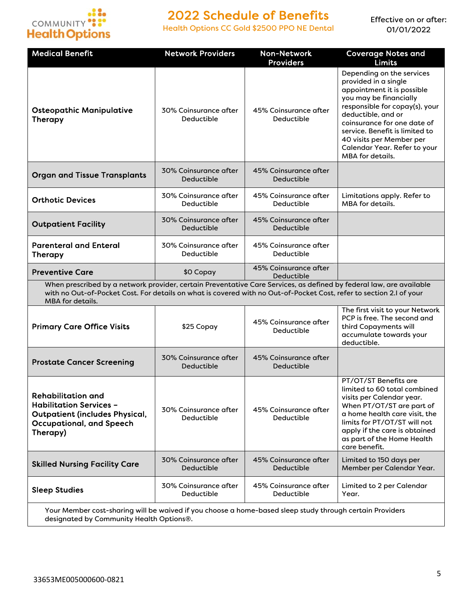

Health Options CC Gold \$2500 PPO NE Dental

| <b>Medical Benefit</b>                                                                                                                                                                                                                                                | <b>Network Providers</b>            | <b>Non-Network</b><br><b>Providers</b> | <b>Coverage Notes and</b><br><b>Limits</b>                                                                                                                                                                                                                                                                         |
|-----------------------------------------------------------------------------------------------------------------------------------------------------------------------------------------------------------------------------------------------------------------------|-------------------------------------|----------------------------------------|--------------------------------------------------------------------------------------------------------------------------------------------------------------------------------------------------------------------------------------------------------------------------------------------------------------------|
| <b>Osteopathic Manipulative</b><br>Therapy                                                                                                                                                                                                                            | 30% Coinsurance after<br>Deductible | 45% Coinsurance after<br>Deductible    | Depending on the services<br>provided in a single<br>appointment it is possible<br>you may be financially<br>responsible for copay(s), your<br>deductible, and or<br>coinsurance for one date of<br>service. Benefit is limited to<br>40 visits per Member per<br>Calendar Year. Refer to your<br>MBA for details. |
| <b>Organ and Tissue Transplants</b>                                                                                                                                                                                                                                   | 30% Coinsurance after<br>Deductible | 45% Coinsurance after<br>Deductible    |                                                                                                                                                                                                                                                                                                                    |
| <b>Orthotic Devices</b>                                                                                                                                                                                                                                               | 30% Coinsurance after<br>Deductible | 45% Coinsurance after<br>Deductible    | Limitations apply. Refer to<br><b>MBA</b> for details.                                                                                                                                                                                                                                                             |
| <b>Outpatient Facility</b>                                                                                                                                                                                                                                            | 30% Coinsurance after<br>Deductible | 45% Coinsurance after<br>Deductible    |                                                                                                                                                                                                                                                                                                                    |
| <b>Parenteral and Enteral</b><br><b>Therapy</b>                                                                                                                                                                                                                       | 30% Coinsurance after<br>Deductible | 45% Coinsurance after<br>Deductible    |                                                                                                                                                                                                                                                                                                                    |
| <b>Preventive Care</b>                                                                                                                                                                                                                                                | \$0 Copay                           | 45% Coinsurance after<br>Deductible    |                                                                                                                                                                                                                                                                                                                    |
| When prescribed by a network provider, certain Preventative Care Services, as defined by federal law, are available<br>with no Out-of-Pocket Cost. For details on what is covered with no Out-of-Pocket Cost, refer to section 2.I of your<br><b>MBA</b> for details. |                                     |                                        |                                                                                                                                                                                                                                                                                                                    |
| <b>Primary Care Office Visits</b>                                                                                                                                                                                                                                     | \$25 Copay                          | 45% Coinsurance after<br>Deductible    | The first visit to your Network<br>PCP is free. The second and<br>third Copayments will<br>accumulate towards your<br>deductible.                                                                                                                                                                                  |
| <b>Prostate Cancer Screening</b>                                                                                                                                                                                                                                      | 30% Coinsurance after<br>Deductible | 45% Coinsurance after<br>Deductible    |                                                                                                                                                                                                                                                                                                                    |
| <b>Rehabilitation and</b><br><b>Habilitation Services -</b><br><b>Outpatient (includes Physical,</b><br><b>Occupational, and Speech</b><br>Therapy)                                                                                                                   | 30% Coinsurance after<br>Deductible | 45% Coinsurance after<br>Deductible    | PT/OT/ST Benefits are<br>limited to 60 total combined<br>visits per Calendar year.<br>When PT/OT/ST are part of<br>a home health care visit, the<br>limits for PT/OT/ST will not<br>apply if the care is obtained<br>as part of the Home Health<br>care benefit.                                                   |
| <b>Skilled Nursing Facility Care</b>                                                                                                                                                                                                                                  | 30% Coinsurance after<br>Deductible | 45% Coinsurance after<br>Deductible    | Limited to 150 days per<br>Member per Calendar Year.                                                                                                                                                                                                                                                               |
| <b>Sleep Studies</b>                                                                                                                                                                                                                                                  | 30% Coinsurance after<br>Deductible | 45% Coinsurance after<br>Deductible    | Limited to 2 per Calendar<br>Year.                                                                                                                                                                                                                                                                                 |
| Your Member cost-sharing will be waived if you choose a home-based sleep study through certain Providers<br>designated by Community Health Options®.                                                                                                                  |                                     |                                        |                                                                                                                                                                                                                                                                                                                    |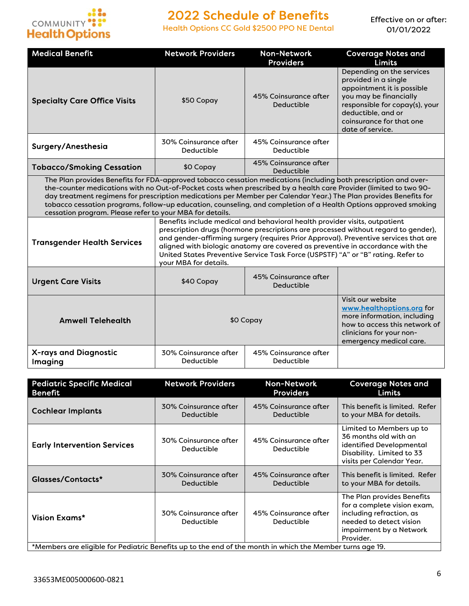

Health Options CC Gold \$2500 PPO NE Dental

| <b>Medical Benefit</b>                                                                                                                                                                                                                                                                                                                                                                                                                                                                                                                     | <b>Network Providers</b>                                                                                                                                                                                                                                                                                                                                                                                                                                | <b>Non-Network</b><br><b>Providers</b> | <b>Coverage Notes and</b><br><b>Limits</b>                                                                                                                                                                        |  |
|--------------------------------------------------------------------------------------------------------------------------------------------------------------------------------------------------------------------------------------------------------------------------------------------------------------------------------------------------------------------------------------------------------------------------------------------------------------------------------------------------------------------------------------------|---------------------------------------------------------------------------------------------------------------------------------------------------------------------------------------------------------------------------------------------------------------------------------------------------------------------------------------------------------------------------------------------------------------------------------------------------------|----------------------------------------|-------------------------------------------------------------------------------------------------------------------------------------------------------------------------------------------------------------------|--|
| <b>Specialty Care Office Visits</b>                                                                                                                                                                                                                                                                                                                                                                                                                                                                                                        | \$50 Copay                                                                                                                                                                                                                                                                                                                                                                                                                                              | 45% Coinsurance after<br>Deductible    | Depending on the services<br>provided in a single<br>appointment it is possible<br>you may be financially<br>responsible for copay(s), your<br>deductible, and or<br>coinsurance for that one<br>date of service. |  |
| Surgery/Anesthesia                                                                                                                                                                                                                                                                                                                                                                                                                                                                                                                         | 30% Coinsurance after<br>Deductible                                                                                                                                                                                                                                                                                                                                                                                                                     | 45% Coinsurance after<br>Deductible    |                                                                                                                                                                                                                   |  |
| <b>Tobacco/Smoking Cessation</b>                                                                                                                                                                                                                                                                                                                                                                                                                                                                                                           | \$0 Copay                                                                                                                                                                                                                                                                                                                                                                                                                                               | 45% Coinsurance after<br>Deductible    |                                                                                                                                                                                                                   |  |
| The Plan provides Benefits for FDA-approved tobacco cessation medications (including both prescription and over-<br>the-counter medications with no Out-of-Pocket costs when prescribed by a health care Provider (limited to two 90-<br>day treatment regimens for prescription medications per Member per Calendar Year.) The Plan provides Benefits for<br>tobacco cessation programs, follow-up education, counseling, and completion of a Health Options approved smoking<br>cessation program. Please refer to your MBA for details. |                                                                                                                                                                                                                                                                                                                                                                                                                                                         |                                        |                                                                                                                                                                                                                   |  |
| <b>Transgender Health Services</b>                                                                                                                                                                                                                                                                                                                                                                                                                                                                                                         | Benefits include medical and behavioral health provider visits, outpatient<br>prescription drugs (hormone prescriptions are processed without regard to gender),<br>and gender-affirming surgery (requires Prior Approval). Preventive services that are<br>aligned with biologic anatomy are covered as preventive in accordance with the<br>United States Preventive Service Task Force (USPSTF) "A" or "B" rating. Refer to<br>your MBA for details. |                                        |                                                                                                                                                                                                                   |  |
| <b>Urgent Care Visits</b>                                                                                                                                                                                                                                                                                                                                                                                                                                                                                                                  | \$40 Copay                                                                                                                                                                                                                                                                                                                                                                                                                                              | 45% Coinsurance after<br>Deductible    |                                                                                                                                                                                                                   |  |
| <b>Amwell Telehealth</b>                                                                                                                                                                                                                                                                                                                                                                                                                                                                                                                   | \$0 Copay                                                                                                                                                                                                                                                                                                                                                                                                                                               |                                        | Visit our website<br>www.healthoptions.org for<br>more information, including<br>how to access this network of<br>clinicians for your non-<br>emergency medical care.                                             |  |
| <b>X-rays and Diagnostic</b><br>Imaging                                                                                                                                                                                                                                                                                                                                                                                                                                                                                                    | 30% Coinsurance after<br>Deductible                                                                                                                                                                                                                                                                                                                                                                                                                     | 45% Coinsurance after<br>Deductible    |                                                                                                                                                                                                                   |  |

| <b>Pediatric Specific Medical</b>                                                                         | <b>Network Providers</b>            | <b>Non-Network</b>                  | <b>Coverage Notes and</b>                                                                                                                                |
|-----------------------------------------------------------------------------------------------------------|-------------------------------------|-------------------------------------|----------------------------------------------------------------------------------------------------------------------------------------------------------|
| <b>Benefit</b>                                                                                            |                                     | <b>Providers</b>                    | Limits                                                                                                                                                   |
| <b>Cochlear Implants</b>                                                                                  | 30% Coinsurance after               | 45% Coinsurance after               | This benefit is limited. Refer                                                                                                                           |
|                                                                                                           | Deductible                          | Deductible                          | to your MBA for details.                                                                                                                                 |
| <b>Early Intervention Services</b>                                                                        | 30% Coinsurance after<br>Deductible | 45% Coinsurance after<br>Deductible | Limited to Members up to<br>36 months old with an<br>identified Developmental<br>Disability. Limited to 33<br>visits per Calendar Year.                  |
| Glasses/Contacts*                                                                                         | 30% Coinsurance after               | 45% Coinsurance after               | This benefit is limited. Refer                                                                                                                           |
|                                                                                                           | Deductible                          | Deductible                          | to your MBA for details.                                                                                                                                 |
| Vision Exams*                                                                                             | 30% Coinsurance after<br>Deductible | 45% Coinsurance after<br>Deductible | The Plan provides Benefits<br>for a complete vision exam,<br>including refraction, as<br>needed to detect vision<br>impairment by a Network<br>Provider. |
| *Members are eligible for Pediatric Benefits up to the end of the month in which the Member turns age 19. |                                     |                                     |                                                                                                                                                          |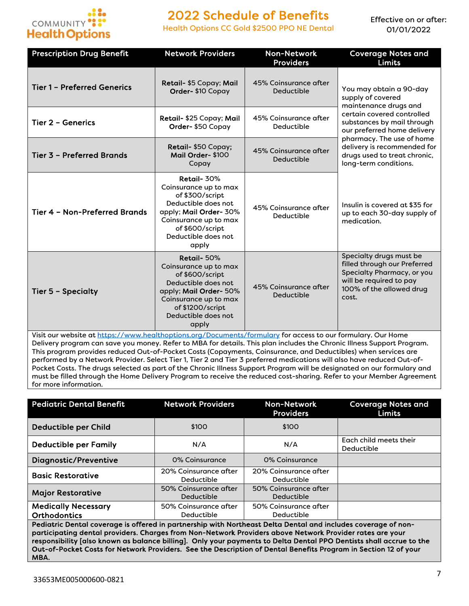

Health Options CC Gold \$2500 PPO NE Dental

Effective on or after: 01/01/2022

| <b>Prescription Drug Benefit</b>                                                                             | <b>Network Providers</b>                                                                                                                                                             | <b>Non-Network</b><br><b>Providers</b> | <b>Coverage Notes and</b><br><b>Limits</b>                                                                                                            |
|--------------------------------------------------------------------------------------------------------------|--------------------------------------------------------------------------------------------------------------------------------------------------------------------------------------|----------------------------------------|-------------------------------------------------------------------------------------------------------------------------------------------------------|
| <b>Tier 1 - Preferred Generics</b>                                                                           | Retail- \$5 Copay; Mail<br>Order-\$10 Copay                                                                                                                                          | 45% Coinsurance after<br>Deductible    | You may obtain a 90-day<br>supply of covered<br>maintenance drugs and                                                                                 |
| <b>Tier 2 - Generics</b>                                                                                     | Retail- \$25 Copay; Mail<br>Order-\$50 Copay                                                                                                                                         | 45% Coinsurance after<br>Deductible    | certain covered controlled<br>substances by mail through<br>our preferred home delivery                                                               |
| <b>Tier 3 - Preferred Brands</b>                                                                             | Retail- \$50 Copay;<br>Mail Order-\$100<br>Copay                                                                                                                                     | 45% Coinsurance after<br>Deductible    | pharmacy. The use of home<br>delivery is recommended for<br>drugs used to treat chronic,<br>long-term conditions.                                     |
| Tier 4 - Non-Preferred Brands                                                                                | Retail-30%<br>Coinsurance up to max<br>of \$300/script<br>Deductible does not<br>apply; Mail Order-30%<br>Coinsurance up to max<br>of \$600/script<br>Deductible does not<br>apply   | 45% Coinsurance after<br>Deductible    | Insulin is covered at \$35 for<br>up to each 30-day supply of<br>medication.                                                                          |
| Tier 5 - Specialty                                                                                           | Retail-50%<br>Coinsurance up to max<br>of \$600/script<br>Deductible does not<br>apply; Mail Order- 50%<br>Coinsurance up to max<br>of \$1200/script<br>Deductible does not<br>apply | 45% Coinsurance after<br>Deductible    | Specialty drugs must be<br>filled through our Preferred<br>Specialty Pharmacy, or you<br>will be required to pay<br>100% of the allowed drug<br>cost. |
| Visit our website at https://www.healthoptions.org/Documents/formulary for access to our formulary. Our Home |                                                                                                                                                                                      |                                        |                                                                                                                                                       |

Visit our website at <u>https://www.healthoptions.org/Documents/formulary</u> for access to our formulary. Our Home Delivery program can save you money. Refer to MBA for details. This plan includes the Chronic Illness Support Program. This program provides reduced Out-of-Pocket Costs (Copayments, Coinsurance, and Deductibles) when services are performed by a Network Provider. Select Tier 1, Tier 2 and Tier 3 preferred medications will also have reduced Out-of-Pocket Costs. The drugs selected as part of the Chronic Illness Support Program will be designated on our formulary and must be filled through the Home Delivery Program to receive the reduced cost-sharing. Refer to your Member Agreement for more information.

| <b>Pediatric Dental Benefit</b>                                                                                                                                                                                      | <b>Network Providers</b>            | <b>Non-Network</b><br><b>Providers</b> | <b>Coverage Notes and</b><br><b>Limits</b> |
|----------------------------------------------------------------------------------------------------------------------------------------------------------------------------------------------------------------------|-------------------------------------|----------------------------------------|--------------------------------------------|
| <b>Deductible per Child</b>                                                                                                                                                                                          | \$100                               | \$100                                  |                                            |
| <b>Deductible per Family</b>                                                                                                                                                                                         | N/A                                 | N/A                                    | Each child meets their<br>Deductible       |
| <b>Diagnostic/Preventive</b>                                                                                                                                                                                         | 0% Coinsurance                      | 0% Coinsurance                         |                                            |
| <b>Basic Restorative</b>                                                                                                                                                                                             | 20% Coinsurance after<br>Deductible | 20% Coinsurance after<br>Deductible    |                                            |
| <b>Major Restorative</b>                                                                                                                                                                                             | 50% Coinsurance after<br>Deductible | 50% Coinsurance after<br>Deductible    |                                            |
| <b>Medically Necessary</b><br><b>Orthodontics</b>                                                                                                                                                                    | 50% Coinsurance after<br>Deductible | 50% Coinsurance after<br>Deductible    |                                            |
| Pediatric Dental coverage is offered in partnership with Northeast Delta Dental and includes coverage of non-<br>atha ath a dhatal ann tolan . Channa than Nan Natural, Baritdan aleri e Natural, Baritdan antar ann |                                     |                                        |                                            |

participating dental providers. Charges from Non-Network Providers above Network Provider rates are your responsibility [also known as balance billing]. Only your payments to Delta Dental PPO Dentists shall accrue to the Out-of-Pocket Costs for Network Providers. See the Description of Dental Benefits Program in Section 12 of your MBA.